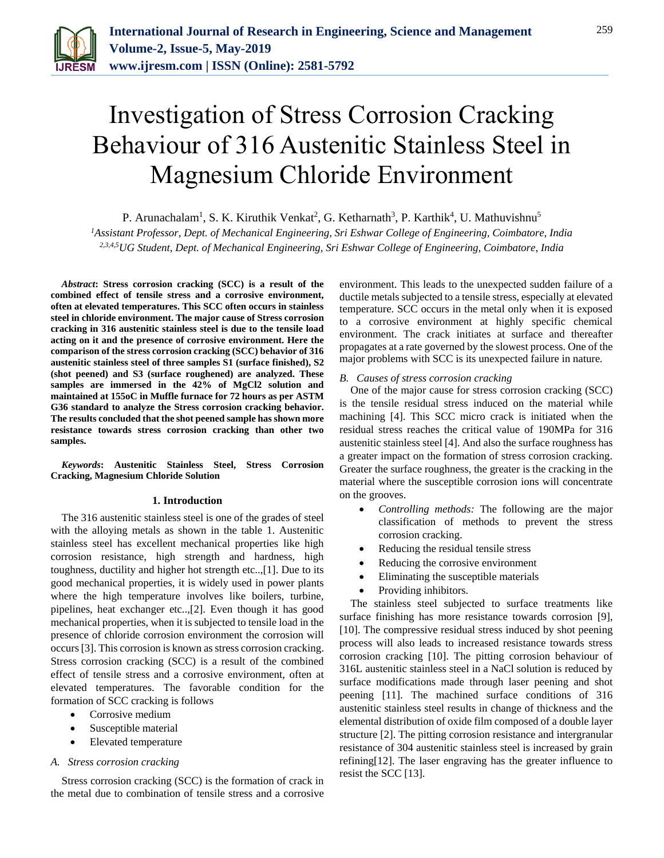

# Investigation of Stress Corrosion Cracking Behaviour of 316 Austenitic Stainless Steel in Magnesium Chloride Environment

P. Arunachalam<sup>1</sup>, S. K. Kiruthik Venkat<sup>2</sup>, G. Ketharnath<sup>3</sup>, P. Karthik<sup>4</sup>, U. Mathuvishnu<sup>5</sup>

*<sup>1</sup>Assistant Professor, Dept. of Mechanical Engineering, Sri Eshwar College of Engineering, Coimbatore, India 2,3,4,5UG Student, Dept. of Mechanical Engineering, Sri Eshwar College of Engineering, Coimbatore, India*

*Abstract***: Stress corrosion cracking (SCC) is a result of the combined effect of tensile stress and a corrosive environment, often at elevated temperatures. This SCC often occurs in stainless steel in chloride environment. The major cause of Stress corrosion cracking in 316 austenitic stainless steel is due to the tensile load acting on it and the presence of corrosive environment. Here the comparison of the stress corrosion cracking (SCC) behavior of 316 austenitic stainless steel of three samples S1 (surface finished), S2 (shot peened) and S3 (surface roughened) are analyzed. These samples are immersed in the 42% of MgCl2 solution and maintained at 155oC in Muffle furnace for 72 hours as per ASTM G36 standard to analyze the Stress corrosion cracking behavior. The results concluded that the shot peened sample has shown more resistance towards stress corrosion cracking than other two samples.**

*Keywords***: Austenitic Stainless Steel, Stress Corrosion Cracking, Magnesium Chloride Solution** 

#### **1. Introduction**

The 316 austenitic stainless steel is one of the grades of steel with the alloying metals as shown in the table 1. Austenitic stainless steel has excellent mechanical properties like high corrosion resistance, high strength and hardness, high toughness, ductility and higher hot strength etc..,[1]. Due to its good mechanical properties, it is widely used in power plants where the high temperature involves like boilers, turbine, pipelines, heat exchanger etc..,[2]. Even though it has good mechanical properties, when it is subjected to tensile load in the presence of chloride corrosion environment the corrosion will occurs[3]. This corrosion is known as stress corrosion cracking. Stress corrosion cracking (SCC) is a result of the combined effect of tensile stress and a corrosive environment, often at elevated temperatures. The favorable condition for the formation of SCC cracking is follows

- Corrosive medium
- Susceptible material
- Elevated temperature

#### *A. Stress corrosion cracking*

Stress corrosion cracking (SCC) is the formation of crack in the metal due to combination of tensile stress and a corrosive environment. This leads to the unexpected sudden failure of a ductile metals subjected to a tensile stress, especially at elevated temperature. SCC occurs in the metal only when it is exposed to a corrosive environment at highly specific chemical environment. The crack initiates at surface and thereafter propagates at a rate governed by the slowest process. One of the major problems with SCC is its unexpected failure in nature*.*

#### *B. Causes of stress corrosion cracking*

One of the major cause for stress corrosion cracking (SCC) is the tensile residual stress induced on the material while machining [4]. This SCC micro crack is initiated when the residual stress reaches the critical value of 190MPa for 316 austenitic stainless steel [4]. And also the surface roughness has a greater impact on the formation of stress corrosion cracking. Greater the surface roughness, the greater is the cracking in the material where the susceptible corrosion ions will concentrate on the grooves.

- *Controlling methods:* The following are the major classification of methods to prevent the stress corrosion cracking.
- Reducing the residual tensile stress
- Reducing the corrosive environment
- Eliminating the susceptible materials
- Providing inhibitors.

The stainless steel subjected to surface treatments like surface finishing has more resistance towards corrosion [9], [10]. The compressive residual stress induced by shot peening process will also leads to increased resistance towards stress corrosion cracking [10]. The pitting corrosion behaviour of 316L austenitic stainless steel in a NaCl solution is reduced by surface modifications made through laser peening and shot peening [11]. The machined surface conditions of 316 austenitic stainless steel results in change of thickness and the elemental distribution of oxide film composed of a double layer structure [2]. The pitting corrosion resistance and intergranular resistance of 304 austenitic stainless steel is increased by grain refining[12]. The laser engraving has the greater influence to resist the SCC [13].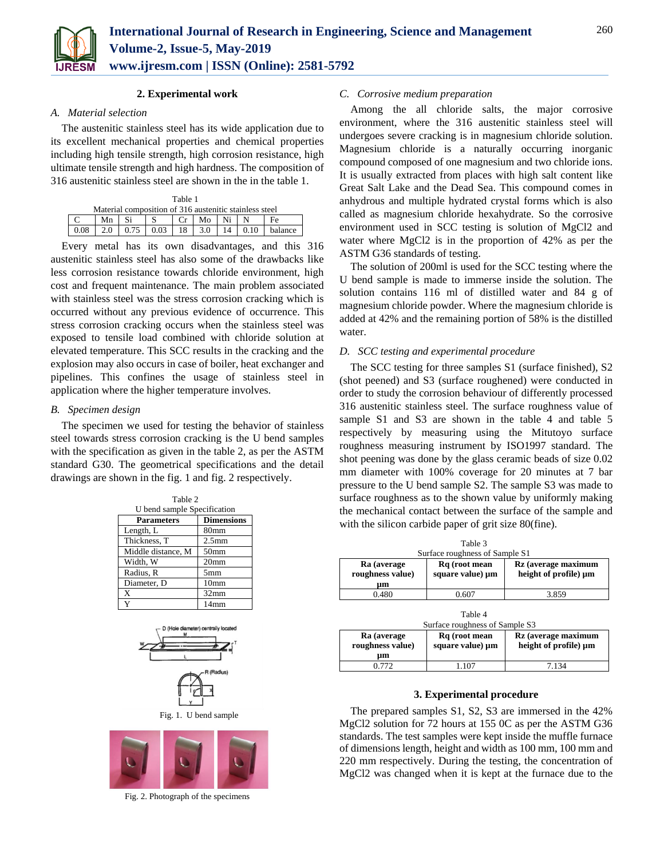

# **2. Experimental work**

# *A. Material selection*

The austenitic stainless steel has its wide application due to its excellent mechanical properties and chemical properties including high tensile strength, high corrosion resistance, high ultimate tensile strength and high hardness. The composition of 316 austenitic stainless steel are shown in the in the table 1.

| Table 1                                                |     |      |      |    |       |    |      |         |
|--------------------------------------------------------|-----|------|------|----|-------|----|------|---------|
| Material composition of 316 austenitic stainless steel |     |      |      |    |       |    |      |         |
|                                                        | Mn  |      |      |    | $M_0$ | Ni |      |         |
| 0.08                                                   | 2.0 | 0.75 | 0.03 | 18 | 3.0   | 14 | 0.10 | balance |

Every metal has its own disadvantages, and this 316 austenitic stainless steel has also some of the drawbacks like less corrosion resistance towards chloride environment, high cost and frequent maintenance. The main problem associated with stainless steel was the stress corrosion cracking which is occurred without any previous evidence of occurrence. This stress corrosion cracking occurs when the stainless steel was exposed to tensile load combined with chloride solution at elevated temperature. This SCC results in the cracking and the explosion may also occurs in case of boiler, heat exchanger and pipelines. This confines the usage of stainless steel in application where the higher temperature involves.

# *B. Specimen design*

The specimen we used for testing the behavior of stainless steel towards stress corrosion cracking is the U bend samples with the specification as given in the table 2, as per the ASTM standard G30. The geometrical specifications and the detail drawings are shown in the fig. 1 and fig. 2 respectively.

| Table 2                     |                   |  |
|-----------------------------|-------------------|--|
| U bend sample Specification |                   |  |
| <b>Parameters</b>           | <b>Dimensions</b> |  |
| Length, L                   | 80 <sub>mm</sub>  |  |
| Thickness, T                | 2.5 <sub>mm</sub> |  |
| Middle distance, M          | 50 <sub>mm</sub>  |  |
| Width, W                    | 20 <sub>mm</sub>  |  |
| Radius, R                   | 5 <sub>mm</sub>   |  |
| Diameter, D                 | 10 <sub>mm</sub>  |  |
| X                           | 32mm              |  |
| Y                           | 14 <sub>mm</sub>  |  |





Fig. 2. Photograph of the specimens

# *C. Corrosive medium preparation*

Among the all chloride salts, the major corrosive environment, where the 316 austenitic stainless steel will undergoes severe cracking is in magnesium chloride solution. Magnesium chloride is a naturally occurring inorganic compound composed of one magnesium and two chloride ions. It is usually extracted from places with high salt content like Great Salt Lake and the Dead Sea. This compound comes in anhydrous and multiple hydrated crystal forms which is also called as magnesium chloride hexahydrate. So the corrosive environment used in SCC testing is solution of MgCl2 and water where MgCl2 is in the proportion of 42% as per the ASTM G36 standards of testing.

The solution of 200ml is used for the SCC testing where the U bend sample is made to immerse inside the solution. The solution contains 116 ml of distilled water and 84 g of magnesium chloride powder. Where the magnesium chloride is added at 42% and the remaining portion of 58% is the distilled water.

# *D. SCC testing and experimental procedure*

The SCC testing for three samples S1 (surface finished), S2 (shot peened) and S3 (surface roughened) were conducted in order to study the corrosion behaviour of differently processed 316 austenitic stainless steel. The surface roughness value of sample S1 and S3 are shown in the table 4 and table 5 respectively by measuring using the Mitutoyo surface roughness measuring instrument by ISO1997 standard. The shot peening was done by the glass ceramic beads of size 0.02 mm diameter with 100% coverage for 20 minutes at 7 bar pressure to the U bend sample S2. The sample S3 was made to surface roughness as to the shown value by uniformly making the mechanical contact between the surface of the sample and with the silicon carbide paper of grit size 80(fine).

| Table 3<br>Surface roughness of Sample S1 |                                   |                                              |  |
|-------------------------------------------|-----------------------------------|----------------------------------------------|--|
| Ra (average<br>roughness value)<br>um     | Rq (root mean<br>square value) µm | Rz (average maximum<br>height of profile) µm |  |
| 0.480                                     | 0.607                             | 3.859                                        |  |

| Table 4<br>Surface roughness of Sample S3 |                                   |                                              |  |  |
|-------------------------------------------|-----------------------------------|----------------------------------------------|--|--|
| Ra (average<br>roughness value)<br>μm     | Rq (root mean<br>square value) µm | Rz (average maximum<br>height of profile) um |  |  |
| 0.772                                     | 1 107                             | 7 1 3 4                                      |  |  |

## **3. Experimental procedure**

The prepared samples S1, S2, S3 are immersed in the 42% MgCl2 solution for 72 hours at 155 0C as per the ASTM G36 standards. The test samples were kept inside the muffle furnace of dimensions length, height and width as 100 mm, 100 mm and 220 mm respectively. During the testing, the concentration of MgCl2 was changed when it is kept at the furnace due to the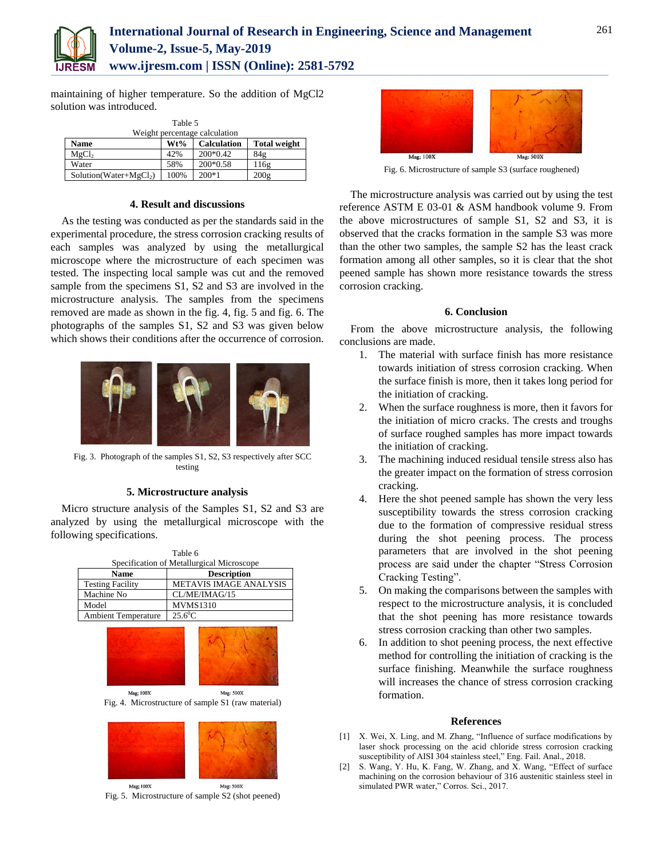

maintaining of higher temperature. So the addition of MgCl2 solution was introduced.

| Table 5                       |      |                    |                     |  |
|-------------------------------|------|--------------------|---------------------|--|
| Weight percentage calculation |      |                    |                     |  |
| <b>Name</b>                   | Wt%  | <b>Calculation</b> | <b>Total weight</b> |  |
| MgCl <sub>2</sub>             | 42%  | $200*0.42$         | 84g                 |  |
| Water                         | 58%  | 200*0.58           | 116g                |  |
| $Solution(Water+MgCl2)$       | 100% | $200*1$            | 200g                |  |

# **4. Result and discussions**

As the testing was conducted as per the standards said in the experimental procedure, the stress corrosion cracking results of each samples was analyzed by using the metallurgical microscope where the microstructure of each specimen was tested. The inspecting local sample was cut and the removed sample from the specimens S1, S2 and S3 are involved in the microstructure analysis. The samples from the specimens removed are made as shown in the fig. 4, fig. 5 and fig. 6. The photographs of the samples S1, S2 and S3 was given below which shows their conditions after the occurrence of corrosion.



Fig. 3. Photograph of the samples S1, S2, S3 respectively after SCC testing

# **5. Microstructure analysis**

Micro structure analysis of the Samples S1, S2 and S3 are analyzed by using the metallurgical microscope with the following specifications.

| Table 6                                   |                               |  |  |
|-------------------------------------------|-------------------------------|--|--|
| Specification of Metallurgical Microscope |                               |  |  |
| <b>Name</b>                               | <b>Description</b>            |  |  |
| <b>Testing Facility</b>                   | <b>METAVIS IMAGE ANALYSIS</b> |  |  |
| Machine No                                | CL/ME/IMAG/15                 |  |  |
| Model                                     | <b>MVMS1310</b>               |  |  |
| <b>Ambient Temperature</b>                | $25.6^{\circ}$ C              |  |  |
|                                           |                               |  |  |



Mag; 100X Mag: 500X Fig. 4. Microstructure of sample S1 (raw material)



Mag; 100X Mag: 500X Fig. 5. Microstructure of sample S2 (shot peened)



Fig. 6. Microstructure of sample S3 (surface roughened)

The microstructure analysis was carried out by using the test reference ASTM E 03-01 & ASM handbook volume 9. From the above microstructures of sample S1, S2 and S3, it is observed that the cracks formation in the sample S3 was more than the other two samples, the sample S2 has the least crack formation among all other samples, so it is clear that the shot peened sample has shown more resistance towards the stress corrosion cracking.

## **6. Conclusion**

From the above microstructure analysis, the following conclusions are made.

- 1. The material with surface finish has more resistance towards initiation of stress corrosion cracking. When the surface finish is more, then it takes long period for the initiation of cracking.
- 2. When the surface roughness is more, then it favors for the initiation of micro cracks. The crests and troughs of surface roughed samples has more impact towards the initiation of cracking.
- 3. The machining induced residual tensile stress also has the greater impact on the formation of stress corrosion cracking.
- 4. Here the shot peened sample has shown the very less susceptibility towards the stress corrosion cracking due to the formation of compressive residual stress during the shot peening process. The process parameters that are involved in the shot peening process are said under the chapter "Stress Corrosion Cracking Testing".
- 5. On making the comparisons between the samples with respect to the microstructure analysis, it is concluded that the shot peening has more resistance towards stress corrosion cracking than other two samples.
- 6. In addition to shot peening process, the next effective method for controlling the initiation of cracking is the surface finishing. Meanwhile the surface roughness will increases the chance of stress corrosion cracking formation.

## **References**

- [1] X. Wei, X. Ling, and M. Zhang, "Influence of surface modifications by laser shock processing on the acid chloride stress corrosion cracking susceptibility of AISI 304 stainless steel," Eng. Fail. Anal., 2018.
- [2] S. Wang, Y. Hu, K. Fang, W. Zhang, and X. Wang, "Effect of surface machining on the corrosion behaviour of 316 austenitic stainless steel in simulated PWR water," Corros. Sci., 2017.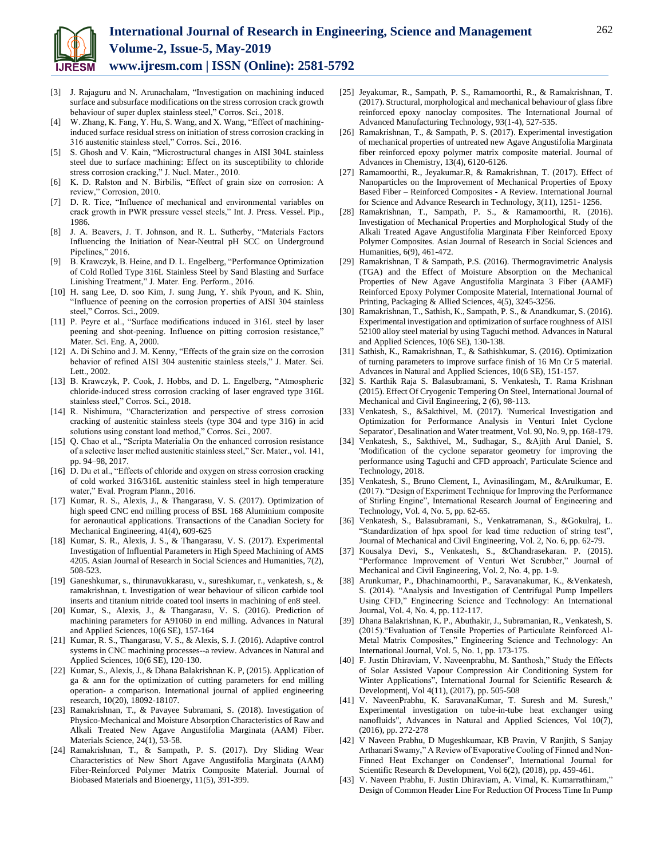

- [3] J. Rajaguru and N. Arunachalam, "Investigation on machining induced surface and subsurface modifications on the stress corrosion crack growth behaviour of super duplex stainless steel," Corros. Sci., 2018.
- W. Zhang, K. Fang, Y. Hu, S. Wang, and X. Wang, "Effect of machininginduced surface residual stress on initiation of stress corrosion cracking in 316 austenitic stainless steel," Corros. Sci., 2016.
- [5] S. Ghosh and V. Kain, "Microstructural changes in AISI 304L stainless steel due to surface machining: Effect on its susceptibility to chloride stress corrosion cracking," J. Nucl. Mater., 2010.
- [6] K. D. Ralston and N. Birbilis, "Effect of grain size on corrosion: A review," Corrosion, 2010.
- [7] D. R. Tice, "Influence of mechanical and environmental variables on crack growth in PWR pressure vessel steels," Int. J. Press. Vessel. Pip., 1986.
- [8] J. A. Beavers, J. T. Johnson, and R. L. Sutherby, "Materials Factors Influencing the Initiation of Near-Neutral pH SCC on Underground Pipelines," 2016.
- [9] B. Krawczyk, B. Heine, and D. L. Engelberg, "Performance Optimization of Cold Rolled Type 316L Stainless Steel by Sand Blasting and Surface Linishing Treatment," J. Mater. Eng. Perform., 2016.
- [10] H. sang Lee, D. soo Kim, J. sung Jung, Y. shik Pyoun, and K. Shin, "Influence of peening on the corrosion properties of AISI 304 stainless steel," Corros. Sci., 2009.
- [11] P. Peyre et al., "Surface modifications induced in 316L steel by laser peening and shot-peening. Influence on pitting corrosion resistance," Mater. Sci. Eng. A, 2000.
- [12] A. Di Schino and J. M. Kenny, "Effects of the grain size on the corrosion behavior of refined AISI 304 austenitic stainless steels," J. Mater. Sci. Lett., 2002.
- [13] B. Krawczyk, P. Cook, J. Hobbs, and D. L. Engelberg, "Atmospheric chloride-induced stress corrosion cracking of laser engraved type 316L stainless steel," Corros. Sci., 2018.
- [14] R. Nishimura, "Characterization and perspective of stress corrosion cracking of austenitic stainless steels (type 304 and type 316) in acid solutions using constant load method," Corros. Sci., 2007.
- [15] Q. Chao et al., "Scripta Materialia On the enhanced corrosion resistance of a selective laser melted austenitic stainless steel," Scr. Mater., vol. 141, pp. 94–98, 2017.
- [16] D. Du et al., "Effects of chloride and oxygen on stress corrosion cracking of cold worked 316/316L austenitic stainless steel in high temperature water," Eval. Program Plann., 2016.
- [17] Kumar, R. S., Alexis, J., & Thangarasu, V. S. (2017). Optimization of high speed CNC end milling process of BSL 168 Aluminium composite for aeronautical applications. Transactions of the Canadian Society for Mechanical Engineering, 41(4), 609-625
- [18] Kumar, S. R., Alexis, J. S., & Thangarasu, V. S. (2017). Experimental Investigation of Influential Parameters in High Speed Machining of AMS 4205. Asian Journal of Research in Social Sciences and Humanities, 7(2), 508-523.
- [19] Ganeshkumar, s., thirunavukkarasu, v., sureshkumar, r., venkatesh, s., & ramakrishnan, t. Investigation of wear behaviour of silicon carbide tool inserts and titanium nitride coated tool inserts in machining of en8 steel.
- [20] Kumar, S., Alexis, J., & Thangarasu, V. S. (2016). Prediction of machining parameters for A91060 in end milling. Advances in Natural and Applied Sciences, 10(6 SE), 157-164
- [21] Kumar, R. S., Thangarasu, V. S., & Alexis, S. J. (2016). Adaptive control systems in CNC machining processes--a review. Advances in Natural and Applied Sciences, 10(6 SE), 120-130.
- [22] Kumar, S., Alexis, J., & Dhana Balakrishnan K. P, (2015). Application of ga & ann for the optimization of cutting parameters for end milling operation- a comparison. International journal of applied engineering research, 10(20), 18092-18107.
- [23] Ramakrishnan, T., & Pavayee Subramani, S. (2018). Investigation of Physico-Mechanical and Moisture Absorption Characteristics of Raw and Alkali Treated New Agave Angustifolia Marginata (AAM) Fiber. Materials Science, 24(1), 53-58.
- [24] Ramakrishnan, T., & Sampath, P. S. (2017). Dry Sliding Wear Characteristics of New Short Agave Angustifolia Marginata (AAM) Fiber-Reinforced Polymer Matrix Composite Material. Journal of Biobased Materials and Bioenergy, 11(5), 391-399.
- [25] Jeyakumar, R., Sampath, P. S., Ramamoorthi, R., & Ramakrishnan, T. (2017). Structural, morphological and mechanical behaviour of glass fibre reinforced epoxy nanoclay composites. The International Journal of Advanced Manufacturing Technology, 93(1-4), 527-535.
- [26] Ramakrishnan, T., & Sampath, P. S. (2017). Experimental investigation of mechanical properties of untreated new Agave Angustifolia Marginata fiber reinforced epoxy polymer matrix composite material. Journal of Advances in Chemistry, 13(4), 6120-6126.
- [27] Ramamoorthi, R., Jeyakumar.R, & Ramakrishnan, T. (2017). Effect of Nanoparticles on the Improvement of Mechanical Properties of Epoxy Based Fiber – Reinforced Composites - A Review. International Journal for Science and Advance Research in Technology, 3(11), 1251- 1256.
- [28] Ramakrishnan, T., Sampath, P. S., & Ramamoorthi, R. (2016). Investigation of Mechanical Properties and Morphological Study of the Alkali Treated Agave Angustifolia Marginata Fiber Reinforced Epoxy Polymer Composites. Asian Journal of Research in Social Sciences and Humanities, 6(9), 461-472.
- [29] Ramakrishnan, T & Sampath, P.S. (2016). Thermogravimetric Analysis (TGA) and the Effect of Moisture Absorption on the Mechanical Properties of New Agave Angustifolia Marginata 3 Fiber (AAMF) Reinforced Epoxy Polymer Composite Material, International Journal of Printing, Packaging & Allied Sciences, 4(5), 3245-3256.
- [30] Ramakrishnan, T., Sathish, K., Sampath, P. S., & Anandkumar, S. (2016). Experimental investigation and optimization of surface roughness of AISI 52100 alloy steel material by using Taguchi method. Advances in Natural and Applied Sciences, 10(6 SE), 130-138.
- [31] Sathish, K., Ramakrishnan, T., & Sathishkumar, S. (2016). Optimization of turning parameters to improve surface finish of 16 Mn Cr 5 material. Advances in Natural and Applied Sciences, 10(6 SE), 151-157.
- [32] S. Karthik Raja S. Balasubramani, S. Venkatesh, T. Rama Krishnan (2015). Effect Of Cryogenic Tempering On Steel, International Journal of Mechanical and Civil Engineering, 2 (6), 98-113.
- [33] Venkatesh, S., &Sakthivel, M. (2017). 'Numerical Investigation and Optimization for Performance Analysis in Venturi Inlet Cyclone Separator', Desalination and Water treatment, Vol. 90, No. 9, pp. 168-179.
- [34] Venkatesh, S., Sakthivel, M., Sudhagar, S., &Ajith Arul Daniel, S. 'Modification of the cyclone separator geometry for improving the performance using Taguchi and CFD approach', Particulate Science and Technology, 2018.
- [35] Venkatesh, S., Bruno Clement, I., Avinasilingam, M., &Arulkumar, E. (2017). "Design of Experiment Technique for Improving the Performance of Stirling Engine", International Research Journal of Engineering and Technology, Vol. 4, No. 5, pp. 62-65.
- [36] Venkatesh, S., Balasubramani, S., Venkatramanan, S., &Gokulraj, L. "Standardization of hpx spool for lead time reduction of string test", Journal of Mechanical and Civil Engineering, Vol. 2, No. 6, pp. 62-79.
- [37] Kousalya Devi, S., Venkatesh, S., &Chandrasekaran. P. (2015). "Performance Improvement of Venturi Wet Scrubber," Journal of Mechanical and Civil Engineering, Vol. 2, No. 4, pp. 1-9.
- [38] Arunkumar, P., Dhachinamoorthi, P., Saravanakumar, K., &Venkatesh, S. (2014). "Analysis and Investigation of Centrifugal Pump Impellers Using CFD," Engineering Science and Technology: An International Journal, Vol. 4, No. 4, pp. 112-117.
- [39] Dhana Balakrishnan, K. P., Abuthakir, J., Subramanian, R., Venkatesh, S. (2015)."Evaluation of Tensile Properties of Particulate Reinforced Al-Metal Matrix Composites," Engineering Science and Technology: An International Journal, Vol. 5, No. 1, pp. 173-175.
- [40] F. Justin Dhiraviam, V. Naveenprabhu, M. Santhosh," Study the Effects of Solar Assisted Vapour Compression Air Conditioning System for Winter Applications", International Journal for Scientific Research & Development|, Vol 4(11), (2017), pp. 505-508
- [41] V. NaveenPrabhu, K. SaravanaKumar, T. Suresh and M. Suresh," Experimental investigation on tube-in-tube heat exchanger using nanofluids", Advances in Natural and Applied Sciences, Vol 10(7), (2016), pp. 272-278
- [42] V Naveen Prabhu, D Mugeshkumaar, KB Pravin, V Ranjith, S Sanjay Arthanari Swamy," A Review of Evaporative Cooling of Finned and Non-Finned Heat Exchanger on Condenser", International Journal for Scientific Research & Development, Vol 6(2), (2018), pp. 459-461.
- [43] V. Naveen Prabhu, F. Justin Dhiraviam, A. Vimal, K. Kumarrathinam," Design of Common Header Line For Reduction Of Process Time In Pump